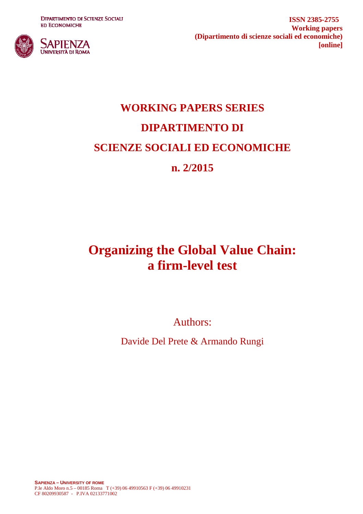**DIPARTIMENTO DI SCIENZE SOCIALI ED ECONOMICHE** 



**ISSN 2385-2755 Working papers (Dipartimento di scienze sociali ed economiche) [online]**

# **WORKING PAPERS SERIES DIPARTIMENTO DI SCIENZE SOCIALI ED ECONOMICHE n. 2/2015**

## **Organizing the Global Value Chain: a firm-level test**

Authors:

Davide Del Prete & Armando Rungi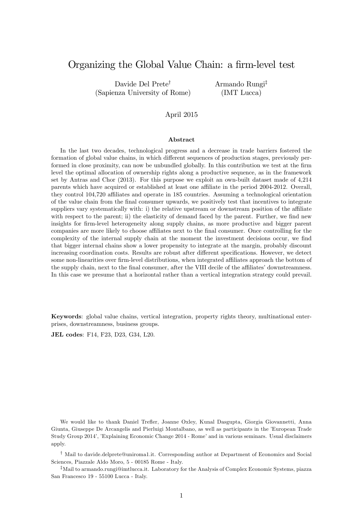## Organizing the Global Value Chain: a firm-level test

Davide Del Prete<sup>†</sup> (Sapienza University of Rome) Armando Rungi<sup>‡</sup> (IMT Lucca)

#### April 2015

#### Abstract

In the last two decades, technological progress and a decrease in trade barriers fostered the formation of global value chains, in which different sequences of production stages, previously performed in close proximity, can now be unbundled globally. In this contribution we test at the firm level the optimal allocation of ownership rights along a productive sequence, as in the framework set by Antras and Chor (2013). For this purpose we exploit an own-built dataset made of 4,214 parents which have acquired or established at least one affiliate in the period 2004-2012. Overall, they control 104,720 affiliates and operate in 185 countries. Assuming a technological orientation of the value chain from the Önal consumer upwards, we positively test that incentives to integrate suppliers vary systematically with: i) the relative upstream or downstream position of the affiliate with respect to the parent; ii) the elasticity of demand faced by the parent. Further, we find new insights for firm-level heterogeneity along supply chains, as more productive and bigger parent companies are more likely to choose affiliates next to the final consumer. Once controlling for the complexity of the internal supply chain at the moment the investment decisions occur, we find that bigger internal chains show a lower propensity to integrate at the margin, probably discount increasing coordination costs. Results are robust after different specifications. However, we detect some non-linearities over firm-level distributions, when integrated affiliates approach the bottom of the supply chain, next to the final consumer, after the VIII decile of the affiliates' downstreamness. In this case we presume that a horizontal rather than a vertical integration strategy could prevail.

Keywords: global value chains, vertical integration, property rights theory, multinational enterprises, downstreamness, business groups.

JEL codes: F14, F23, D23, G34, L20.

We would like to thank Daniel Trefler, Joanne Oxley, Kunal Dasgupta, Giorgia Giovannetti, Anna Giunta, Giuseppe De Arcangelis and Pierluigi Montalbano, as well as participants in the íEuropean Trade Study Group 2014′, *Explaining Economic Change 2014* - Rome' and in various seminars. Usual disclaimers apply.

y Mail to davide.delprete@uniroma1.it. Corresponding author at Department of Economics and Social Sciences, Piazzale Aldo Moro, 5 - 00185 Rome - Italy.

<sup>‡</sup>Mail to armando.rungi@imtlucca.it. Laboratory for the Analysis of Complex Economic Systems, piazza San Francesco 19 - 55100 Lucca - Italy.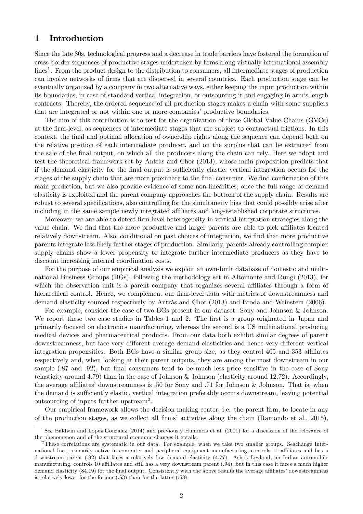## 1 Introduction

Since the late 80s, technological progress and a decrease in trade barriers have fostered the formation of cross-border sequences of productive stages undertaken by Örms along virtually international assembly lines<sup>[1](#page-2-0)</sup>. From the product design to the distribution to consumers, all intermediate stages of production can involve networks of Örms that are dispersed in several countries. Each production stage can be eventually organized by a company in two alternative ways, either keeping the input production within its boundaries, in case of standard vertical integration, or outsourcing it and engaging in armís length contracts. Thereby, the ordered sequence of all production stages makes a chain with some suppliers that are integrated or not within one or more companies' productive boundaries.

The aim of this contribution is to test for the organization of these Global Value Chains (GVCs) at the Örm-level, as sequences of intermediate stages that are subject to contractual frictions. In this context, the Önal and optimal allocation of ownership rights along the sequence can depend both on the relative position of each intermediate producer, and on the surplus that can be extracted from the sale of the final output, on which all the producers along the chain can rely. Here we adopt and test the theoretical framework set by Antràs and Chor [\(2013\)](#page-22-0), whose main proposition predicts that if the demand elasticity for the final output is sufficiently elastic, vertical integration occurs for the stages of the supply chain that are more proximate to the final consumer. We find confirmation of this main prediction, but we also provide evidence of some non-linearities, once the full range of demand elasticity is exploited and the parent company approaches the bottom of the supply chain. Results are robust to several specifications, also controlling for the simultaneity bias that could possibly arise after including in the same sample newly integrated affiliates and long-established corporate structures.

Moreover, we are able to detect firm-level heterogeneity in vertical integration strategies along the value chain. We find that the more productive and larger parents are able to pick affiliates located relatively downstream. Also, conditional on past choices of integration, we find that more productive parents integrate less likely further stages of production. Similarly, parents already controlling complex supply chains show a lower propensity to integrate further intermediate producers as they have to discount increasing internal coordination costs.

For the purpose of our empirical analysis we exploit an own-built database of domestic and multinational Business Groups (BGs), following the methodology set in [Altomonte and Rungi](#page-22-1) [\(2013\)](#page-22-1), for which the observation unit is a parent company that organizes several affiliates through a form of hierarchical control. Hence, we complement our firm-level data with metrics of downstreamness and demand elasticity sourced respectively by Antràs and Chor  $(2013)$  and [Broda and Weinstein](#page-22-2)  $(2006)$ .

For example, consider the case of two BGs present in our dataset: Sony and Johnson & Johnson. We report these two case studies in Tables [1](#page-3-0) and [2.](#page-3-1) The first is a group originated in Japan and primarily focused on electronics manufacturing, whereas the second is a US multinational producing medical devices and pharmaceutical products. From our data both exhibit similar degrees of parent downstreamness, but face very different average demand elasticities and hence very different vertical integration propensities. Both BGs have a similar group size, as they control 405 and 353 affiliates respectively and, when looking at their parent outputs, they are among the most downstream in our sample (.87 and .92), but final consumers tend to be much less price sensitive in the case of Sony (elasticity around 4:79) than in the case of Johnson & Johnson (elasticity around 12:72). Accordingly, the average affiliates' downstreamness is  $.50$  for Sony and  $.71$  for Johnson & Johnson. That is, when the demand is sufficiently elastic, vertical integration preferably occurs downstream, leaving potential outsourcing of inputs further upstream<sup>[2](#page-2-1)</sup>.

Our empirical framework allows the decision making center, i.e. the parent firm, to locate in any of the production stages, as we collect all firms' activities along the chain [\(Ramondo et al.,](#page-23-0) [2015\)](#page-23-0),

<span id="page-2-0"></span><sup>&</sup>lt;sup>1</sup>See [Baldwin and Lopez-Gonzalez](#page-22-3) [\(2014\)](#page-22-3) and previously [Hummels et al.](#page-23-1) [\(2001\)](#page-23-1) for a discussion of the relevance of the phenomenon and of the structural economic changes it entails.

<span id="page-2-1"></span><sup>&</sup>lt;sup>2</sup>These correlations are systematic in our data. For example, when we take two smaller groups. Seachange International Inc., primarily active in computer and peripheral equipment manufacturing, controls 11 affiliates and has a downstream parent (:92) that faces a relatively low demand elasticity (4:77). Ashok Leyland, an Indian automobile manufacturing, controls 10 affiliates and still has a very downstream parent (.94), but in this case it faces a much higher demand elasticity (84.19) for the final output. Consistently with the above results the average affiliates' downstreamness is relatively lower for the former  $(.53)$  than for the latter  $(.68)$ .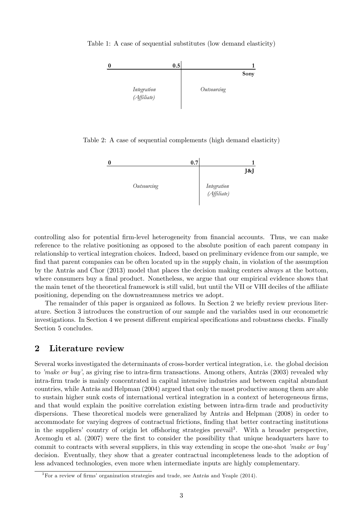Table 1: A case of sequential substitutes (low demand elasticity)

<span id="page-3-0"></span>

Table 2: A case of sequential complements (high demand elasticity)

<span id="page-3-1"></span>

controlling also for potential firm-level heterogeneity from financial accounts. Thus, we can make reference to the relative positioning as opposed to the absolute position of each parent company in relationship to vertical integration choices. Indeed, based on preliminary evidence from our sample, we find that parent companies can be often located up in the supply chain, in violation of the assumption by the Antràs and Chor  $(2013)$  model that places the decision making centers always at the bottom, where consumers buy a final product. Nonetheless, we argue that our empirical evidence shows that the main tenet of the theoretical framework is still valid, but until the VII or VIII deciles of the affiliate positioning, depending on the downstreamness metrics we adopt.

The remainder of this paper is organized as follows. In Section 2 we briefly review previous literature. Section 3 introduces the construction of our sample and the variables used in our econometric investigations. In Section 4 we present different empirical specifications and robustness checks. Finally Section 5 concludes.

## 2 Literature review

Several works investigated the determinants of cross-border vertical integration, i.e. the global decision to *'make or buy'*, as giving rise to intra-firm transactions. Among others, Antràs [\(2003\)](#page-22-4) revealed why intra-Örm trade is mainly concentrated in capital intensive industries and between capital abundant countries, while Antràs and Helpman [\(2004\)](#page-22-5) argued that only the most productive among them are able to sustain higher sunk costs of international vertical integration in a context of heterogeneous firms, and that would explain the positive correlation existing between intra-firm trade and productivity dispersions. These theoretical models were generalized by Antràs and Helpman [\(2008\)](#page-22-6) in order to accommodate for varying degrees of contractual frictions, finding that better contracting institutions in the suppliers' country of origin let offshoring strategies prevail<sup>[3](#page-3-2)</sup>. With a broader perspective, [Acemoglu et al.](#page-22-7) [\(2007\)](#page-22-7) were the first to consider the possibility that unique headquarters have to commit to contracts with several suppliers, in this way extending in scope the one-shot *make or buy* decision. Eventually, they show that a greater contractual incompleteness leads to the adoption of less advanced technologies, even more when intermediate inputs are highly complementary.

<span id="page-3-2"></span> $3$ For a review of firms' organization strategies and trade, see Antràs and Yeaple [\(2014\)](#page-22-8).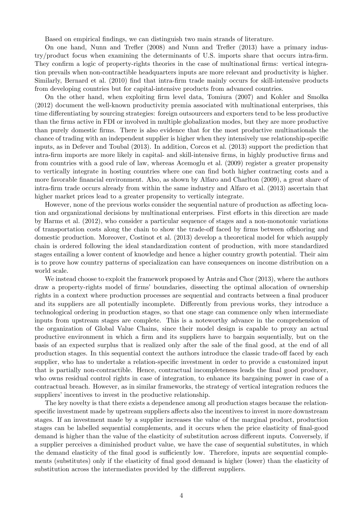Based on empirical Öndings, we can distinguish two main strands of literature.

On one hand, Nunn and Trefler [\(2008\)](#page-23-2) and Nunn and Trefler [\(2013\)](#page-23-3) have a primary industry/product focus when examining the determinants of U.S. imports share that occurs intra-Örm. They confirm a logic of property-rights theories in the case of multinational firms: vertical integration prevails when non-contractible headquarters inputs are more relevant and productivity is higher. Similarly, [Bernard et al.](#page-22-9) [\(2010\)](#page-22-9) find that intra-firm trade mainly occurs for skill-intensive products from developing countries but for capital-intensive products from advanced countries.

On the other hand, when exploiting Örm level data, [Tomiura](#page-23-4) [\(2007\)](#page-23-4) and [Kohler and Smolka](#page-23-5) [\(2012\)](#page-23-5) document the well-known productivity premia associated with multinational enterprises, this time differentiating by sourcing strategies: foreign outsourcers and exporters tend to be less productive than the Örms active in FDI or involved in multiple globalization modes, but they are more productive than purely domestic Örms. There is also evidence that for the most productive multinationals the chance of trading with an independent supplier is higher when they intensively use relationship-specific inputs, as in [Defever and Toubal](#page-23-6) [\(2013\)](#page-23-6). In addition, [Corcos et al.](#page-22-10) [\(2013\)](#page-22-10) support the prediction that intra-Örm imports are more likely in capital- and skill-intensive Örms, in highly productive Örms and from countries with a good rule of law, whereas [Acemoglu et al.](#page-22-11) [\(2009\)](#page-22-11) register a greater propensity to vertically integrate in hosting countries where one can find both higher contracting costs and a more favorable financial environment. Also, as shown by [Alfaro and Charlton](#page-22-12) [\(2009\)](#page-22-12), a great share of intra-Örm trade occurs already from within the same industry and [Alfaro et al.](#page-22-13) [\(2013\)](#page-22-13) ascertain that higher market prices lead to a greater propensity to vertically integrate.

However, none of the previous works consider the sequential nature of production as affecting location and organizational decisions by multinational enterprises. First efforts in this direction are made by [Harms et al.](#page-23-7) [\(2012\)](#page-23-7), who consider a particular sequence of stages and a non-monotonic variations of transportation costs along the chain to show the trade-off faced by firms between offshoring and domestic production. Moreover, [Costinot et al.](#page-22-14) [\(2013\)](#page-22-14) develop a theoretical model for which asupply chain is ordered following the ideal standardization content of production, with more standardized stages entailing a lower content of knowledge and hence a higher country growth potential. Their aim is to prove how country patterns of specialization can have consequences on income distribution on a world scale.

We instead choose to exploit the framework proposed by Antràs and Chor  $(2013)$ , where the authors draw a property-rights model of firms' boundaries, dissecting the optimal allocation of ownership rights in a context where production processes are sequential and contracts between a final producer and its suppliers are all potentially incomplete. Differently from previous works, they introduce a technological ordering in production stages, so that one stage can commence only when intermediate inputs from upstream stages are complete. This is a noteworthy advance in the comprehension of the organization of Global Value Chains, since their model design is capable to proxy an actual productive environment in which a firm and its suppliers have to bargain sequentially, but on the basis of an expected surplus that is realized only after the sale of the final good, at the end of all production stages. In this sequential context the authors introduce the classic trade-off faced by each supplier, who has to undertake a relation-specific investment in order to provide a customized input that is partially non-contractible. Hence, contractual incompleteness leads the final good producer, who owns residual control rights in case of integration, to enhance its bargaining power in case of a contractual breach. However, as in similar frameworks, the strategy of vertical integration reduces the suppliers' incentives to invest in the productive relationship.

The key novelty is that there exists a dependence among all production stages because the relationspecific investment made by upstream suppliers affects also the incentives to invest in more downstream stages. If an investment made by a supplier increases the value of the marginal product, production stages can be labelled sequential complements, and it occurs when the price elasticity of final-good demand is higher than the value of the elasticity of substitution across different inputs. Conversely, if a supplier perceives a diminished product value, we have the case of sequential substitutes, in which the demand elasticity of the final good is sufficiently low. Therefore, inputs are sequential complements (substitutes) only if the elasticity of final good demand is higher (lower) than the elasticity of substitution across the intermediates provided by the different suppliers.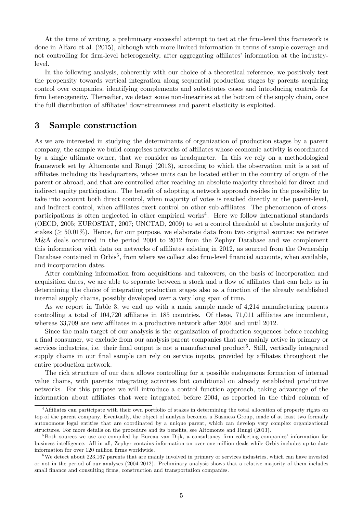At the time of writing, a preliminary successful attempt to test at the firm-level this framework is done in [Alfaro et al.](#page-22-15) [\(2015\)](#page-22-15), although with more limited information in terms of sample coverage and not controlling for firm-level heterogeneity, after aggregating affiliates' information at the industrylevel.

In the following analysis, coherently with our choice of a theoretical reference, we positively test the propensity towards vertical integration along sequential production stages by parents acquiring control over companies, identifying complements and substitutes cases and introducing controls for firm heterogeneity. Thereafter, we detect some non-linearities at the bottom of the supply chain, once the full distribution of affiliates' downstreamness and parent elasticity is exploited.

## 3 Sample construction

As we are interested in studying the determinants of organization of production stages by a parent company, the sample we build comprises networks of affiliates whose economic activity is coordinated by a single ultimate owner, that we consider as headquarter. In this we rely on a methodological framework set by [Altomonte and Rungi](#page-22-1) [\(2013\)](#page-22-1), according to which the observation unit is a set of affiliates including its headquarters, whose units can be located either in the country of origin of the parent or abroad, and that are controlled after reaching an absolute majority threshold for direct and indirect equity participation. The benefit of adopting a network approach resides in the possibility to take into account both direct control, when majority of votes is reached directly at the parent-level, and indirect control, when affiliates exert control on other sub-affiliates. The phenomenon of cross-participations is often neglected in other empirical works<sup>[4](#page-5-0)</sup>. Here we follow international standards [\(OECD,](#page-23-8) [2005;](#page-23-8) [EUROSTAT,](#page-23-9) [2007;](#page-23-9) [UNCTAD,](#page-23-10) [2009\)](#page-23-10) to set a control threshold at absolute majority of stakes ( $\geq 50.01\%$ ). Hence, for our purpose, we elaborate data from two original sources: we retrieve M&A deals occurred in the period 2004 to 2012 from the Zephyr Database and we complement this information with data on networks of affiliates existing in 2012, as sourced from the Ownership Database contained in Orbis<sup>[5](#page-5-1)</sup>, from where we collect also firm-level financial accounts, when available, and incorporation dates.

After combining information from acquisitions and takeovers, on the basis of incorporation and acquisition dates, we are able to separate between a stock and a flow of affiliates that can help us in determining the choice of integrating production stages also as a function of the already established internal supply chains, possibly developed over a very long span of time.

As we report in Table [3,](#page-6-0) we end up with a main sample made of 4,214 manufacturing parents controlling a total of  $104,720$  affiliates in 185 countries. Of these, 71,011 affiliates are incumbent, whereas 33,709 are new affiliates in a productive network after 2004 and until 2012.

Since the main target of our analysis is the organization of production sequences before reaching a Önal consumer, we exclude from our analysis parent companies that are mainly active in primary or services industries, i.e. their final output is not a manufactured product<sup>[6](#page-5-2)</sup>. Still, vertically integrated supply chains in our final sample can rely on service inputs, provided by affiliates throughout the entire production network.

The rich structure of our data allows controlling for a possible endogenous formation of internal value chains, with parents integrating activities but conditional on already established productive networks. For this purpose we will introduce a control function approach, taking advantage of the information about affiliates that were integrated before 2004, as reported in the third column of

<span id="page-5-0"></span><sup>&</sup>lt;sup>4</sup>Affiliates can participate with their own portfolio of stakes in determining the total allocation of property rights on top of the parent company. Eventually, the object of analysis becomes a Business Group, made of at least two formally autonomous legal entities that are coordinated by a unique parent, which can develop very complex organizational structures. For more details on the procedure and its benefits, see [Altomonte and Rungi](#page-22-1) [\(2013\)](#page-22-1).

<span id="page-5-1"></span><sup>&</sup>lt;sup>5</sup>Both sources we use are compiled by Bureau van Dijk, a consultancy firm collecting companies' information for business intelligence. All in all, Zephyr contains information on over one million deals while Orbis includes up-to-date information for over 120 million firms worldwide.

<span id="page-5-2"></span> $6$ We detect about 223,167 parents that are mainly involved in primary or services industries, which can have invested or not in the period of our analyses (2004-2012). Preliminary analysis shows that a relative majority of them includes small finance and consulting firms, construction and transportation companies.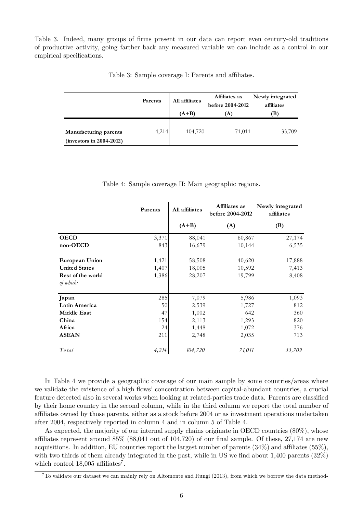Table [3.](#page-6-0) Indeed, many groups of firms present in our data can report even century-old traditions of productive activity, going farther back any measured variable we can include as a control in our empirical specifications.

|                                                     | Parents | All affiliates<br>$(A+B)$ | Affiliates as<br>before 2004-2012<br>(A) | Newly integrated<br>affiliates<br>(B) |  |
|-----------------------------------------------------|---------|---------------------------|------------------------------------------|---------------------------------------|--|
| Manufacturing parents<br>$(investors in 2004-2012)$ | 4,214   | 104,720                   | 71,011                                   | 33,709                                |  |

<span id="page-6-0"></span>Table 3: Sample coverage I: Parents and affiliates.

<span id="page-6-1"></span>Table 4: Sample coverage II: Main geographic regions.

|                      | Parents | All affiliates | Affiliates as<br>before 2004-2012 | Newly integrated<br>affiliates |
|----------------------|---------|----------------|-----------------------------------|--------------------------------|
|                      |         | $(A+B)$        | (A)                               | (B)                            |
| <b>OECD</b>          | 3,371   | 88,041         | 60,867                            | 27,174                         |
| non-OECD             | 843     | 16,679         | 10,144                            | 6,535                          |
| European Union       | 1,421   | 58,508         | 40,620                            | 17,888                         |
| <b>United States</b> | 1,407   | 18,005         | 10,592                            | 7,413                          |
| Rest of the world    | 1,386   | 28,207         | 19,799                            | 8,408                          |
| of which:            |         |                |                                   |                                |
| Japan                | 285     | 7,079          | 5,986                             | 1,093                          |
| Latin America        | 50      | 2,539          | 1,727                             | 812                            |
| <b>Middle East</b>   | 47      | 1,002          | 642                               | 360                            |
| China                | 154     | 2,113          | 1,293                             | 820                            |
| Africa               | 24      | 1,448          | 1,072                             | 376                            |
| <b>ASEAN</b>         | 211     | 2,748          | 2,035                             | 713                            |
| To tal               | 4,214   | 104,720        | 71,011                            | 33,709                         |

In Table [4](#page-6-1) we provide a geographic coverage of our main sample by some countries/areas where we validate the existence of a high flows' concentration between capital-abundant countries, a crucial feature detected also in several works when looking at related-parties trade data. Parents are classified by their home country in the second column, while in the third column we report the total number of affiliates owned by those parents, either as a stock before 2004 or as investment operations undertaken after 2004, respectively reported in column 4 and in column 5 of Table [4.](#page-6-1)

As expected, the majority of our internal supply chains originate in OECD countries (80%), whose affiliates represent around  $85\%$  ( $88,041$  out of  $104,720$ ) of our final sample. Of these,  $27,174$  are new acquisitions. In addition, EU countries report the largest number of parents  $(34%)$  and affiliates  $(55%),$ with two thirds of them already integrated in the past, while in US we find about  $1,400$  parents  $(32\%)$ which control  $18,005$  affiliates<sup>[7](#page-6-2)</sup>.

<span id="page-6-2"></span> $7$ To validate our dataset we can mainly rely on [Altomonte and Rungi](#page-22-1) [\(2013\)](#page-22-1), from which we borrow the data method-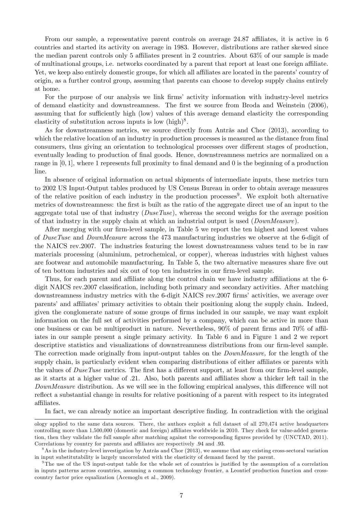From our sample, a representative parent controls on average  $24.87$  affiliates, it is active in 6 countries and started its activity on average in 1983. However, distributions are rather skewed since the median parent controls only 5 affiliates present in 2 countries. About  $63\%$  of our sample is made of multinational groups, i.e. networks coordinated by a parent that report at least one foreign affiliate. Yet, we keep also entirely domestic groups, for which all affiliates are located in the parents' country of origin, as a further control group, assuming that parents can choose to develop supply chains entirely at home.

For the purpose of our analysis we link firms' activity information with industry-level metrics of demand elasticity and downstreamness. The first we source from [Broda and Weinstein](#page-22-2) [\(2006\)](#page-22-2), assuming that for sufficiently high (low) values of this average demand elasticity the corresponding elasticity of substitution across inputs is low  $(high)^8$  $(high)^8$ .

As for downstreamness metrics, we source directly from Antràs and Chor  $(2013)$ , according to which the relative location of an industry in production processes is measured as the distance from final consumers, thus giving an orientation to technological processes over different stages of production, eventually leading to production of final goods. Hence, downstreamness metrics are normalized on a range in  $[0, 1]$ , where 1 represents full proximity to final demand and 0 is the beginning of a production line.

In absence of original information on actual shipments of intermediate inputs, these metrics turn to 2002 US Input-Output tables produced by US Census Bureau in order to obtain average measures of the relative position of each industry in the production processes<sup>[9](#page-7-1)</sup>. We exploit both alternative metrics of downstreamness: the first is built as the ratio of the aggregate direct use of an input to the aggregate total use of that industry  $(DuseTuse)$ , whereas the second weighs for the average position of that industry in the supply chain at which an industrial output is used (DownMeasure).

After merging with our firm-level sample, in Table [5](#page-8-0) we report the ten highest and lowest values of DuseTuse and DownMeasure across the 473 manufacturing industries we observe at the 6-digit of the NAICS rev.2007. The industries featuring the lowest downstreamness values tend to be in raw materials processing (aluminium, petrochemical, or copper), whereas industries with highest values are footwear and automobile manufacturing. In Table [5,](#page-8-0) the two alternative measures share five out of ten bottom industries and six out of top ten industries in our firm-level sample.

Thus, for each parent and affiliate along the control chain we have industry affiliations at the 6digit NAICS rev. 2007 classification, including both primary and secondary activities. After matching downstreamness industry metrics with the 6-digit NAICS rev. 2007 firms' activities, we average over parents' and affiliates' primary activities to obtain their positioning along the supply chain. Indeed, given the conglomerate nature of some groups of firms included in our sample, we may want exploit information on the full set of activities performed by a company, which can be active in more than one business or can be multiproduct in nature. Nevertheless,  $90\%$  of parent firms and  $70\%$  of affiliates in our sample present a single primary activity. In Table [6](#page-9-0) and in Figure [1](#page-9-1) and [2](#page-10-0) we report descriptive statistics and visualizations of downstreamness distributions from our firm-level sample. The correction made originally from input-output tables on the DownMeasure, for the length of the supply chain, is particularly evident when comparing distributions of either affiliates or parents with the values of  $DuseTuse$  metrics. The first has a different support, at least from our firm-level sample, as it starts at a higher value of  $.21.$  Also, both parents and affiliates show a thicker left tail in the DownMeasure distribution. As we will see in the following empirical analyses, this difference will not reflect a substantial change in results for relative positioning of a parent with respect to its integrated affiliates.

In fact, we can already notice an important descriptive finding. In contradiction with the original

ology applied to the same data sources. There, the authors exploit a full dataset of all 270,474 active headquarters controlling more than 1,500,000 (domestic and foreign) affiliates worldwide in 2010. They check for value-added genera-tion, then they validate the full sample after matching against the corresponding figures provided by [\(UNCTAD,](#page-24-0) [2011\)](#page-24-0). Correlations by country for parents and affiliates are respectively  $.94$  and  $.93$ .

<span id="page-7-0"></span> $8$ As in the industry-level investigation by Antràs and Chor [\(2013\)](#page-22-0), we assume that any existing cross-sectoral variation in input substitutability is largely uncorrelated with the elasticity of demand faced by the parent.

<span id="page-7-1"></span> $9$ The use of the US input-output table for the whole set of countries is justified by the assumption of a correlation in inputs patterns across countries, assuming a common technology frontier, a Leontief production function and crosscountry factor price equalization [\(Acemoglu et al.,](#page-22-11) [2009\)](#page-22-11).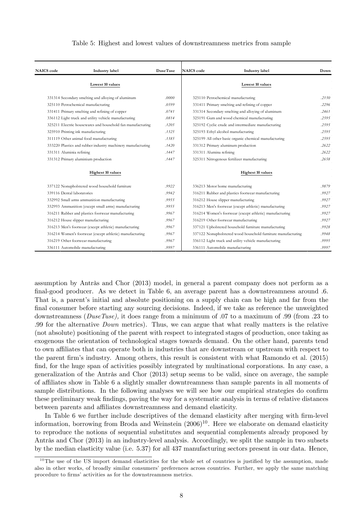#### <span id="page-8-0"></span>Table 5: Highest and lowest values of downstreamness metrics from sample

| <b>NAICS</b> code          | Industry label                                              | <b>DuseTuse</b> | <b>NAICS</b> code       | Industry label                                               | Down  |
|----------------------------|-------------------------------------------------------------|-----------------|-------------------------|--------------------------------------------------------------|-------|
|                            | Lowest 10 values                                            |                 |                         | Lowest 10 values                                             |       |
|                            | 331314 Secondary smelting and alloying of aluminum          | .0000           |                         | 325110 Petrochemical manufacturing                           | .2150 |
|                            | 325110 Petrochemical manufacturing                          | .0599           |                         | 331411 Primary smelting and refining of copper               | .2296 |
|                            | 331411 Primary smelting and refining of copper              | .0741           |                         | 331314 Secondary smelting and alloying of aluminum           | .2461 |
|                            | 336112 Light truck and utility vehicle manufacturing        | .0814           |                         | 325191 Gum and wood chemical manufacturing                   | .2595 |
|                            | 325211 Electric housewares and household fan manufacturing  | .1205           |                         | 325192 Cyclic crude and intermediate manufacturing           | .2595 |
|                            | 325910 Printing ink manufacturing                           | .1325           |                         | 325193 Ethyl alcohol manufacturing                           | .2595 |
|                            | 311119 Other animal food manufacturing                      | .1385           |                         | 325199 All other basic organic chemical manufacturing        | .2595 |
|                            | 333220 Plastics and rubber industry machinery manufacturing | .1420           |                         | 331312 Primary aluminum production                           | .2622 |
| 331311 Aluminia refining   |                                                             | .1447           | 331311 Alumina refining |                                                              | .2622 |
|                            | 331312 Primary aluminium production                         | .1447           |                         | 325311 Nitrogenous fertilizer manufacturing                  | .2658 |
|                            | <b>Highest 10 values</b>                                    |                 |                         | <b>Highest 10 values</b>                                     |       |
|                            | 337122 Nonupholstered wood household furniture              | .9922           |                         | 336213 Motor home manufacturing                              | .9879 |
| 339116 Dental laboratories |                                                             | .9942           |                         | 316211 Rubber and plastics footwear manufacturing            | .9927 |
|                            | 332992 Small arms ammunition manufacturing                  | .9955           |                         | 316212 House slipper manufacturing                           | .9927 |
|                            | 332993 Ammunition (except small arms) manufacturing         | .9955           |                         | 316213 Men's footwear (except athletic) manufacturing        | .9927 |
|                            | 316211 Rubber and plastics footwear manufacturing           | .9967           |                         | 316214 Women's footwear (except athletic) manufacturing      | .9927 |
|                            | 316212 House slipper manufacturing                          | .9967           |                         | 316219 Other footwear manufacturing                          | .9927 |
|                            | 316213 Men's footwear (except athletic) manufacturing       | .9967           |                         | 337121 Upholstered household furniture manufacturing         | .9928 |
|                            | 316214 Women's footwear (except athletic) manufacturing     | .9967           |                         | 337122 Nonupholstered wood household furniture manufacturing | .9948 |
|                            | 316219 Other footwear manufacturing                         | .9967           |                         | 336112 Light truck and utility vehicle manufacturing         | .9995 |
|                            | 336111 Automobile manufacturing                             | .9997           |                         | 336111 Automobile manufacturing                              | .9997 |

assumption by Antràs and Chor [\(2013\)](#page-22-0) model, in general a parent company does not perform as a final-good producer. As we detect in Table [6,](#page-9-0) an average parent has a downstreamness around .6. That is, a parent's initial and absolute positioning on a supply chain can be high and far from the final consumer before starting any sourcing decisions. Indeed, if we take as reference the unweighted downstreamness ( $DuseTuse$ ), it does range from a minimum of .07 to a maximum of .99 (from .23 to :99 for the alternative Down metrics). Thus, we can argue that what really matters is the relative (not absolute) positioning of the parent with respect to integrated stages of production, once taking as exogenous the orientation of technological stages towards demand. On the other hand, parents tend to own affiliates that can operate both in industries that are downstream or upstream with respect to the parent Örmís industry. Among others, this result is consistent with what [Ramondo et al.](#page-23-0) [\(2015\)](#page-23-0) find, for the huge span of activities possibly integrated by multinational corporations. In any case, a generalization of the Antràs and Chor  $(2013)$  setup seems to be valid, since on average, the sample of a¢ liates show in Table [6](#page-9-0) a slightly smaller downtreamness than sample parents in all moments of sample distributions. In the following analyses we will see how our empirical strategies do confirm these preliminary weak findings, paving the way for a systematic analysis in terms of relative distances between parents and affiliates downstreamness and demand elasticity.

In Table [6](#page-9-0) we further include descriptives of the demand elasticity after merging with firm-level information, borrowing from [Broda and Weinstein](#page-22-2) [\(2006\)](#page-22-2) [10](#page-8-1). Here we elaborate on demand elasticity to reproduce the notions of sequential substitutes and sequential complements already proposed by Antràs and Chor  $(2013)$  in an industry-level analysis. Accordingly, we split the sample in two subsets by the median elasticity value (i.e. 5:37) for all 437 manufacturing sectors present in our data. Hence,

<span id="page-8-1"></span> $10$ The use of the US import demand elasticities for the whole set of countries is justified by the assumption, made also in other works, of broadly similar consumers' preferences across countries. Further, we apply the same matching procedure to firms' activities as for the downstreamness metrics.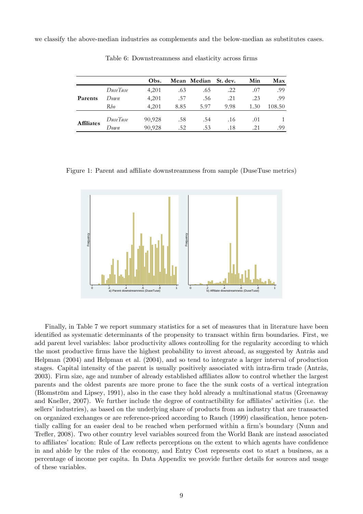we classify the above-median industries as complements and the below-median as substitutes cases.

|                   |          | Obs.   |      | Mean Median St. dev. |      | Min  | Max    |
|-------------------|----------|--------|------|----------------------|------|------|--------|
|                   | DuseTuse | 4.201  | .63  | .65                  | .22  | .07  | .99    |
| Parents           | Down     | 4.201  | .57  | .56                  | .21  | .23  | .99    |
|                   | Rho      | 4,201  | 8.85 | 5.97                 | 9.98 | 1.30 | 108.50 |
| <b>Affiliates</b> | DuseTuse | 90,928 | .58  | .54                  | .16  | .01  |        |
|                   | Donyn    | 90,928 | .52  | .53                  | .18  | .21  | .99    |

<span id="page-9-0"></span>Table 6: Downstreamness and elasticity across firms

<span id="page-9-1"></span>Figure 1: Parent and affiliate downstreamness from sample (DuseTuse metrics)



Finally, in Table [7](#page-10-1) we report summary statistics for a set of measures that in literature have been identified as systematic determinants of the propensity to transact within firm boundaries. First, we add parent level variables: labor productivity allows controlling for the regularity according to which the most productive firms have the highest probability to invest abroad, as suggested by Antràs and [Helpman](#page-22-5) [\(2004\)](#page-22-5) and [Helpman et al.](#page-23-11) [\(2004\)](#page-23-11), and so tend to integrate a larger interval of production stages. Capital intensity of the parent is usually positively associated with intra-firm trade (Antràs, [2003\)](#page-22-4). Firm size, age and number of already established affiliates allow to control whether the largest parents and the oldest parents are more prone to face the the sunk costs of a vertical integration (Blomström and Lipsey, [1991\)](#page-22-16), also in the case they hold already a multinational status [\(Greenaway](#page-23-12) [and Kneller,](#page-23-12) [2007\)](#page-23-12). We further include the degree of contractibility for affiliates' activities (i.e. the sellers' industries), as based on the underlying share of products from an industry that are transacted on organized exchanges or are reference-priced according to [Rauch](#page-23-13) [\(1999\)](#page-23-13) classification, hence poten-tially calling for an easier deal to be reached when performed within a firm's boundary [\(Nunn and](#page-23-2) Trefler, [2008\)](#page-23-2). Two other country level variables sourced from the World Bank are instead associated to affiliates' location: Rule of Law reflects perceptions on the extent to which agents have confidence in and abide by the rules of the economy, and Entry Cost represents cost to start a business, as a percentage of income per capita. In Data Appendix we provide further details for sources and usage of these variables.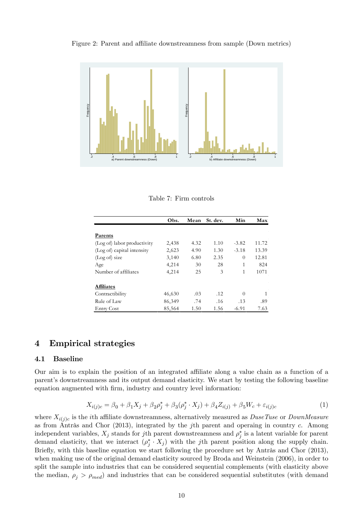<span id="page-10-0"></span>Figure 2: Parent and affiliate downstreamness from sample (Down metrics)



<span id="page-10-1"></span>Table 7: Firm controls

|                             | Obs.   | Mean | St. dev. | Min      | Max   |
|-----------------------------|--------|------|----------|----------|-------|
|                             |        |      |          |          |       |
| Parents                     |        |      |          |          |       |
| (Log of) labor productivity | 2,438  | 4.32 | 1.10     | $-3.82$  | 11.72 |
| (Log of) capital intensity  | 2,623  | 4.90 | 1.30     | $-3.18$  | 13.39 |
| (Log of) size               | 3,140  | 6.80 | 2.35     | $\Omega$ | 12.81 |
| Age                         | 4,214  | 30   | 28       | 1        | 824   |
| Number of affiliates        | 4,214  | 25   | 3        | 1        | 1071  |
| <b>Affiliates</b>           |        |      |          |          |       |
| Contractibility             | 46,630 | .03  | .12      | $\Omega$ |       |
| Rule of Law                 | 86,349 | .74  | .16      | .13      | .89   |
| <b>Entry Cost</b>           | 85,564 | 1.50 | 1.56     | $-6.91$  | 7.63  |

## 4 Empirical strategies

#### 4.1 Baseline

Our aim is to explain the position of an integrated affiliate along a value chain as a function of a parentís downstreamness and its output demand elasticity. We start by testing the following baseline equation augmented with firm, industry and country level information:

<span id="page-10-2"></span>
$$
X_{i(j)c} = \beta_0 + \beta_1 X_j + \beta_2 \rho_j^* + \beta_3 (\rho_j^* \cdot X_j) + \beta_4 Z_{i(j)} + \beta_5 W_c + \varepsilon_{i(j)c}
$$
 (1)

where  $X_{i(j)c}$  is the *i*th affiliate downstreamness, alternatively measured as  $DuseTuse$  or  $DownMeasure$ as from Antràs and Chor [\(2013\)](#page-22-0), integrated by the j<sup>th</sup> parent and operaing in country c. Among independent variables,  $X_j$  stands for jth parent downstreamness and  $\rho_j^*$  is a latent variable for parent demand elasticity, that we interact  $(\rho_j^* \cdot X_j)$  with the jth parent position along the supply chain. Briefly, with this baseline equation we start following the procedure set by Antràs and Chor  $(2013)$ , when making use of the original demand elasticity sourced by [Broda and Weinstein](#page-22-2) [\(2006\)](#page-22-2), in order to split the sample into industries that can be considered sequential complements (with elasticity above the median,  $\rho_j > \rho_{med}$ ) and industries that can be considered sequential substitutes (with demand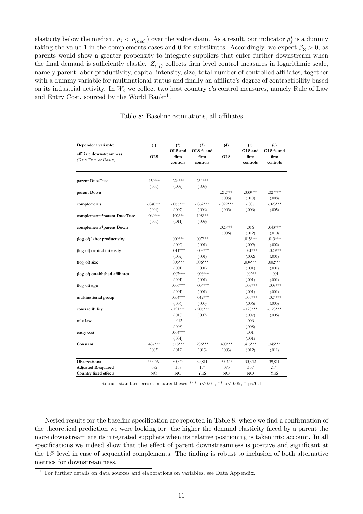elasticity below the median,  $\rho_j < \rho_{med}$  ) over the value chain. As a result, our indicator  $\rho_j^*$  is a dummy taking the value 1 in the complements cases and 0 for substitutes. Accordingly, we expect  $\beta_3 > 0$ , as parents would show a greater propensity to integrate suppliers that enter further downstream when the final demand is sufficiently elastic.  $Z_{i(j)}$  collects firm level control measures in logarithmic scale, namely parent labor productivity, capital intensity, size, total number of controlled affiliates, together with a dummy variable for multinational status and finally an affiliate's degree of contractibility based on its industrial activity. In  $W_c$  we collect two host country c's control measures, namely Rule of Law and Entry Cost, sourced by the World Bank<sup>[11](#page-11-0)</sup>.

<span id="page-11-1"></span>

|  |  | Table 8: Baseline estimations, all affiliates |  |  |
|--|--|-----------------------------------------------|--|--|
|--|--|-----------------------------------------------|--|--|

| Dependent variable:                            | (1)        | (2)                         | (3)                            | (4)        | (5)                         | (6)                            |  |
|------------------------------------------------|------------|-----------------------------|--------------------------------|------------|-----------------------------|--------------------------------|--|
| affiliate downstreamness<br>(DuseTuse or Down) | <b>OLS</b> | OLS and<br>firm<br>controls | OLS fe and<br>firm<br>controls | <b>OLS</b> | OLS and<br>firm<br>controls | OLS fe and<br>firm<br>controls |  |
| parent DuseTuse                                | $.150***$  | $.224***$                   | $.231***$                      |            |                             |                                |  |
|                                                | (.005)     | (.009)                      | (.008)                         |            |                             |                                |  |
| parent Down                                    |            |                             |                                | $.212***$  | $.330***$                   | $.327***$                      |  |
|                                                |            |                             |                                | (.005)     | (.010)                      | (.008)                         |  |
| complements                                    | $-.040***$ | $-.055***$                  | $-.062***$                     | $-.022***$ | $-.007$                     | $-.023***$                     |  |
|                                                | (.004)     | (.007)                      | (.006)                         | (.003)     | (.006)                      | (.005)                         |  |
| complements*parent DuseTuse                    | $.060***$  | $.102***$                   | $.108***$                      |            |                             |                                |  |
|                                                | (.005)     | (.011)                      | (.009)                         |            |                             |                                |  |
| complements*parent Down                        |            |                             |                                | $.025***$  | .016                        | $.043***$                      |  |
|                                                |            |                             |                                | (.006)     | (.012)                      | (.010)                         |  |
| (log of) labor productivity                    |            | $.009***$                   | $.007***$                      |            | $.015***$                   | $.013***$                      |  |
|                                                |            | (.002)                      | (.001)                         |            | (.002)                      | (.002)                         |  |
| (log of) capital intensity                     |            | $-.011***$                  | $-.008***$                     |            | $-.021***$                  | $-.020***$                     |  |
|                                                |            | (.002)                      | (.001)                         |            | (.002)                      | (.001)                         |  |
| (log of) size                                  |            | $.006***$                   | $.006***$                      |            | $.004***$                   | $.002***$                      |  |
|                                                |            | (.001)                      | (.001)                         |            | (.001)                      | (.001)                         |  |
| (log of) established affiliates                |            | $-.007***$                  | $-.006***$                     |            | $-.002**$                   | $-.001$                        |  |
|                                                |            | (.001)                      | (.001)                         |            | (.001)                      | (.001)                         |  |
| (log of) age                                   |            | $-.006***$                  | $-.004***$                     |            | $-.007***$                  | $-.008$ ***                    |  |
|                                                |            | (.001)                      | (.001)                         |            | (.001)                      | (.001)                         |  |
| multinational group                            |            | $-.034***$                  | $-.042***$                     |            | $-.033***$                  | $-.024***$                     |  |
|                                                |            | (.006)                      | (.005)                         |            | (.006)                      | (.005)                         |  |
| contractibility                                |            | $-.191***$                  | $-.205***$                     |            | $-.120***$                  | $-.123***$                     |  |
|                                                |            | (.010)                      | (.009)                         |            | (.007)                      | (.006)                         |  |
| rule law                                       |            | $-.012$                     |                                |            | .006                        |                                |  |
|                                                |            | (.008)                      |                                |            | (.008)                      |                                |  |
| entry cost                                     |            | $-.004***$                  |                                |            | .001                        |                                |  |
|                                                |            | (.001)                      |                                |            | (.001)                      |                                |  |
| Constant                                       | .487***    | .518***                     | $.206***$                      | $.400***$  | .415***                     | $.345***$                      |  |
|                                                | (.003)     | (.012)                      | (.013)                         | (.003)     | (.012)                      | (.011)                         |  |
| <b>Observations</b>                            | 90,279     | 30,342                      | 39,811                         | 90,279     | 30,342                      | 39,811                         |  |
| <b>Adjusted R-squared</b>                      | .082       | .158                        | .174                           | .073       | .157                        | .174                           |  |
| Country fixed effects                          | NO         | NO                          | <b>YES</b>                     | NO         | NO                          | YES                            |  |

Robust standard errors in parentheses \*\*\* p<0.01, \*\* p<0.05, \* p<0.1

Nested results for the baseline specification are reported in Table [8,](#page-11-1) where we find a confirmation of the theoretical prediction we were looking for: the higher the demand elasticity faced by a parent the more downstream are its integrated suppliers when its relative positioning is taken into account. In all specifications we indeed show that the effect of parent downstreamness is positive and significant at the 1% level in case of sequential complements. The Önding is robust to inclusion of both alternative metrics for downstreamness.

<span id="page-11-0"></span> $11$  For further details on data sources and elaborations on variables, see Data Appendix.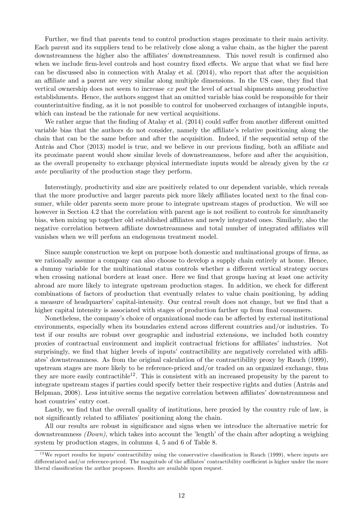Further, we find that parents tend to control production stages proximate to their main activity. Each parent and its suppliers tend to be relatively close along a value chain, as the higher the parent downstreamness the higher also the affiliates' downstreamness. This novel result is confirmed also when we include firm-level controls and host country fixed effects. We argue that what we find here can be discussed also in connection with [Atalay et al.](#page-22-17) [\(2014\)](#page-22-17), who report that after the acquisition an affiliate and a parent are very similar along multiple dimensions. In the US case, they find that vertical ownership does not seem to increase ex post the level of actual shipments among productive establishments. Hence, the authors suggest that an omitted variable bias could be responsible for their counterintuitive Önding, as it is not possible to control for unobserved exchanges of intangible inputs, which can instead be the rationale for new vertical acquisitions.

We rather argue that the finding of [Atalay et al.](#page-22-17)  $(2014)$  could suffer from another different omitted variable bias that the authors do not consider, namely the affiliate's relative positioning along the chain that can be the same before and after the acquisition. Indeed, if the sequential setup of the Antràs and Chor  $(2013)$  model is true, and we believe in our previous finding, both an affiliate and its proximate parent would show similar levels of downstreamness, before and after the acquisition, as the overall propensity to exchange physical intermediate inputs would be already given by the  $ex$ ante peculiarity of the production stage they perform.

Interestingly, productivity and size are positively related to our dependent variable, which reveals that the more productive and larger parents pick more likely affiliates located next to the final consumer, while older parents seem more prone to integrate upstream stages of production. We will see however in Section 4.2 that the correlation with parent age is not resilient to controls for simultaneity bias, when mixing up together old established affiliates and newly integrated ones. Similarly, also the negative correlation between affiliate downstreamness and total number of integrated affiliates will vanishes when we will perfom an endogenous treatment model.

Since sample construction we kept on purpose both domestic and multinational groups of firms, as we rationally assume a company can also choose to develop a supply chain entirely at home. Hence, a dummy variable for the multinational status controls whether a different vertical strategy occurs when crossing national borders at least once. Here we find that groups having at least one activity abroad are more likely to integrate upstream production stages. In addition, we check for different combinations of factors of production that eventually relates to value chain positioning, by adding a measure of headquarters' capital-intensity. Our central result does not change, but we find that a higher capital intensity is associated with stages of production farther up from final consumers.

Nonetheless, the company's choice of organizational mode can be affected by external institutional environments, especially when its boundaries extend across different countries and/or industries. To test if our results are robust over geographic and industrial extensions, we included both country proxies of contractual environment and implicit contractual frictions for affiliates' industries. Not surprisingly, we find that higher levels of inputs' contractibility are negatively correlated with affili-ates' downstreamness. As from the original calculation of the contractibility proxy by [Rauch](#page-23-13) [\(1999\)](#page-23-13), upstream stages are more likely to be reference-priced and/or traded on an organized exchange, thus they are more easily contractible<sup>[12](#page-12-0)</sup>. This is consistent with an increased propensity by the parent to integrate upstream stages if parties could specify better their respective rights and duties (Antràs and [Helpman,](#page-22-6) [2008\)](#page-22-6). Less intuitive seems the negative correlation between affiliates' downstreamness and host countries' entry cost.

Lastly, we find that the overall quality of institutions, here proxied by the country rule of law, is not significantly related to affiliates' positioning along the chain.

All our results are robust in significance and signs when we introduce the alternative metric for downstreamness  $(Down)$ , which takes into account the 'length' of the chain after adopting a weighing system by production stages, in columns 4, 5 and 6 of Table [8.](#page-11-1)

<span id="page-12-0"></span> $12$ We report results for inputs' contractibility using the conservative classification in [Rauch](#page-23-13) [\(1999\)](#page-23-13), where inputs are differentiated and/or reference-priced. The magnitude of the affiliates' contractibility coefficient is higher under the more liberal classification the author proposes. Results are available upon request.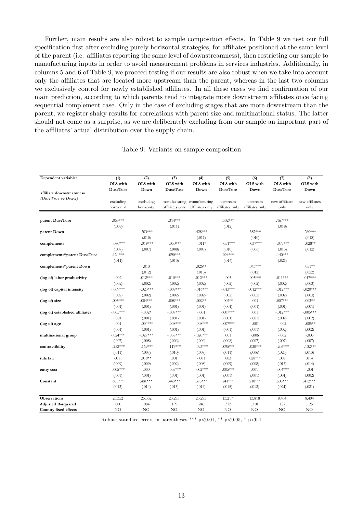Further, main results are also robust to sample composition effects. In Table [9](#page-13-0) we test our full specification first after excluding purely horizontal strategies, for affiliates positioned at the same level of the parent (i.e. affiliates reporting the same level of downstreamness), then restricting our sample to manufacturing inputs in order to avoid measurement problems in services industries. Additionally, in columns 5 and 6 of Table [9,](#page-13-0) we proceed testing if our results are also robust when we take into account only the affiliates that are located more upstream than the parent, whereas in the last two columns we exclusively control for newly established affiliates. In all these cases we find confirmation of our main prediction, according to which parents tend to integrate more downstream affiliates once facing sequential complement case. Only in the case of excluding stages that are more downstream than the parent, we register shaky results for correlations with parent size and multinational status. The latter should not come as a surprise, as we are deliberately excluding from our sample an important part of the affiliates' actual distribution over the supply chain.

| Dependent variable:             | (1)<br>OLS with         | (2)<br>OLS with         | (3)<br>OLS with | (4)<br>OLS with                                | (5)<br>OLS with             | (6)<br>OLS with             | (7)<br>OLS with        | (8)<br>OLS with        |
|---------------------------------|-------------------------|-------------------------|-----------------|------------------------------------------------|-----------------------------|-----------------------------|------------------------|------------------------|
| affiliate downstreamness        | <b>DuseTuse</b>         | Down                    | <b>DuseTuse</b> | Down                                           | <b>DuseTuse</b>             | Down                        | <b>DuseTuse</b>        | Down                   |
| (DuseTuse or Down)              | excluding<br>horizontal | excluding<br>horizontal | affiliates only | manufacturing manufacturing<br>affiliates only | upstream<br>affiliates only | upstream<br>affiliates only | new affiliates<br>only | new affiliates<br>only |
|                                 |                         |                         |                 |                                                |                             |                             |                        |                        |
| parent DuseTuse                 | $.063***$               |                         | $.314***$       |                                                | $.502***$                   |                             | $.167***$              |                        |
|                                 | (.009)                  |                         | (.011)          |                                                | (.012)                      |                             | (.018)                 |                        |
| parent Down                     |                         | $.203***$               |                 | $.428***$                                      |                             | $.387***$                   |                        | $.260***$              |
|                                 |                         | (.010)                  |                 | (.011)                                         |                             | (.010)                      |                        | (.018)                 |
| complements                     | $-.080***$              | $-.019***$              | $-.050***$      | $-.011*$                                       | $-.051***$                  | $-.037***$                  | $-.077***$             | $-.028**$              |
|                                 | (.007)                  | (.007)                  | (.008)          | (.007)                                         | (.010)                      | (.006)                      | (.013)                 | (.012)                 |
| complements*parent DuseTuse     | $.124***$               |                         | $.090***$       |                                                | $.094***$                   |                             | $.140***$              |                        |
|                                 | (.011)                  |                         | (.013)          |                                                | (.014)                      |                             | (.021)                 |                        |
| complements*parent Down         |                         | .013                    |                 | $.026**$                                       |                             | $.043***$                   |                        | $.051**$               |
|                                 |                         | (.012)                  |                 | (.013)                                         |                             | (.012)                      |                        | (.022)                 |
| (log of) labor productivity     | .002                    | $.012***$               | $.010***$       | $.012***$                                      | .003                        | $.005***$                   | $.011***$              | $.017***$              |
|                                 | (.002)                  | (.002)                  | (.002)          | (.002)                                         | (.002)                      | (.002)                      | (.002)                 | (.003)                 |
| (log of) capital intensity      | $-.009***$              | $-.023***$              | $-.009***$      | $-.016***$                                     | $-.013***$                  | $-.012***$                  | $-.012***$             | $-.020***$             |
|                                 | (.002)                  | (.002)                  | (.002)          | (.002)                                         | (.002)                      | (.002)                      | (.002)                 | (.003)                 |
| (log of) size                   | $.005***$               | $.004***$               | $.008***$       | $.002**$                                       | $.002**$                    | .001                        | $.007***$              | $.003**$               |
|                                 | (.001)                  | (.001)                  | (.001)          | (.001)                                         | (.001)                      | (.001)                      | (.001)                 | (.001)                 |
| (log of) established affiliates | $-.005***$              | $-.002*$                | $-.007***$      | $-.001$                                        | $-.007***$                  | .001                        | $-.012***$             | $-.005***$             |
|                                 | (.001)                  | (.001)                  | (.001)          | (.001)                                         | (.001)                      | (.001)                      | (.002)                 | (.002)                 |
| (log of) age                    | .001                    | $-.004***$              | $-.008***$      | $-.008***$                                     | $-.007***$                  | $-.001$                     | $-.002$                | $-.005**$              |
|                                 | (.001)                  | (.001)                  | (.001)          | (.001)                                         | (.001)                      | (.001)                      | (.002)                 | (.002)                 |
| multinational group             | $-.024***$              | $-.027***$              | $-.038***$      | $-.020***$                                     | .001                        | $-.006$                     | $-.002$                | $-.005$                |
|                                 | (.007)                  | (.008)                  | (.006)          | (.006)                                         | (.008)                      | (.007)                      | (.007)                 | (.007)                 |
| contractibility                 | $-.252***$              | $-.169***$              | $-.117***$      | $-.093***$                                     | $-.095***$                  | $-.030***$                  | $-.203***$             | $-.132***$             |
|                                 | (.011)                  | (.007)                  | (.010)          | (.008)                                         | (.011)                      | (.006)                      | (.020)                 | (.013)                 |
| rule law                        | $-.011$                 | $.019**$                | .001            | $-.001$                                        | .003                        | $.028***$                   | .009                   | .014                   |
|                                 | (.009)                  | (.009)                  | (.009)          | (.008)                                         | (.009)                      | (.008)                      | (.013)                 | (.014)                 |
| entry cost                      | $-.005***$              | .000                    | $-.005***$      | $-.002***$                                     | $-.005***$                  | .001                        | $-.004***$             | $-.001$                |
|                                 | (.001)                  | (.001)                  | (.001)          | (.001)                                         | (.001)                      | (.001)                      | (.001)                 | (.002)                 |
| Constant                        | $.605***$               | .481***                 | .448***         | $.375***$                                      | $.241***$                   | $.218***$                   | $.508***$              | $.412***$              |
|                                 | (.013)                  | (.014)                  | (.015)          | (.014)                                         | (.015)                      | (.012)                      | (.021)                 | (.021)                 |
| <b>Observations</b>             | 25,352                  | 25,352                  | 23,293          | 23,293                                         | 13,217                      | 13,818                      | 8,404                  | 8,404                  |
| <b>Adjusted R-squared</b>       | .080                    | .084                    | .199            | .240                                           | .372                        | .318                        | .157                   | .125                   |
| Country fixed effects           | NO                      | NO                      | NO.             | NO <sub>1</sub>                                | NO.                         | NO                          | NO                     | NO.                    |

#### <span id="page-13-0"></span>Table 9: Variants on sample composition

Robust standard errors in parentheses \*\*\* p<0.01, \*\* p<0.05, \* p<0.1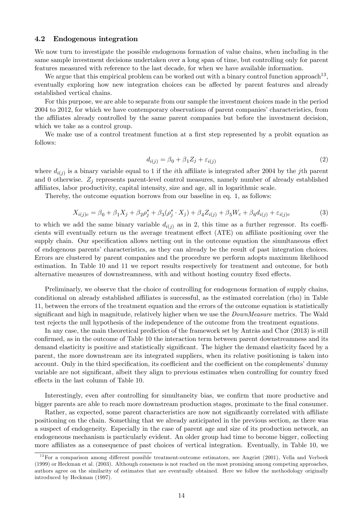#### 4.2 Endogenous integration

We now turn to investigate the possible endogenous formation of value chains, when including in the same sample investment decisions undertaken over a long span of time, but controlling only for parent features measured with reference to the last decade, for when we have available information.

We argue that this empirical problem can be worked out with a binary control function approach<sup>[13](#page-14-0)</sup>, eventually exploring how new integration choices can be affected by parent features and already established vertical chains.

For this purpose, we are able to separate from our sample the investment choices made in the period 2004 to 2012, for which we have contemporary observations of parent companies' characteristics, from the affiliates already controlled by the same parent companies but before the investment decision, which we take as a control group.

We make use of a control treatment function at a first step represented by a probit equation as follows:

<span id="page-14-1"></span>
$$
d_{i(j)} = \beta_0 + \beta_1 Z_j + \varepsilon_{i(j)}
$$
\n<sup>(2)</sup>

where  $d_{i(j)}$  is a binary variable equal to 1 if the *i*th affiliate is integrated after 2004 by the *j*th parent and 0 otherwise.  $Z_j$  represents parent-level control measures, namely number of already established a¢ liates, labor productivity, capital intensity, size and age, all in logarithmic scale.

Thereby, the outcome equation borrows from our baseline in eq. [1,](#page-10-2) as follows:

$$
X_{i(j)c} = \beta_0 + \beta_1 X_j + \beta_2 \rho_j^* + \beta_3 (\rho_j^* \cdot X_j) + \beta_4 Z_{i(j)} + \beta_5 W_c + \beta_6 d_{i(j)} + \varepsilon_{i(j)c}
$$
(3)

to which we add the same binary variable  $d_{i(j)}$  as in [2,](#page-14-1) this time as a further regressor. Its coefficients will eventually return us the average treatment effect (ATE) on affiliate positioning over the supply chain. Our specification allows netting out in the outcome equation the simultaneous effect of endogenous parents' characteristics, as they can already be the result of past integration choices. Errors are clustered by parent companies and the procedure we perform adopts maximum likelihood estimation. In Table [10](#page-15-0) and [11](#page-16-0) we report results respectively for treatment and outcome, for both alternative measures of downstreamness, with and without hosting country fixed effects.

Preliminarly, we observe that the choice of controlling for endogenous formation of supply chains, conditional on already established affiliates is successful, as the estimated correlation (rho) in Table [11,](#page-16-0) between the errors of the treatment equation and the errors of the outcome equation is statistically significant and high in magnitude, relatively higher when we use the  $DownMeasure$  metrics. The Wald test rejects the null hypothesis of the independence of the outcome from the treatment equations.

In any case, the main theoretical prediction of the framework set by Antras and Chor  $(2013)$  is still confirmed, as in the outcome of Table [10](#page-15-0) the interaction term between parent downstreamness and its demand elasticity is positive and statistically significant. The higher the demand elasticity faced by a parent, the more downstream are its integrated suppliers, when its relative positioning is taken into account. Only in the third specification, its coefficient and the coefficient on the complements' dummy variable are not significant, albeit they align to previous estimates when controlling for country fixed effects in the last column of Table [10.](#page-15-0)

Interestingly, even after controlling for simultaneity bias, we confirm that more productive and bigger parents are able to reach more downstream production stages, proximate to the final consumer.

Rather, as expected, some parent characteristics are now not significantly correlated with affiliate positioning on the chain. Something that we already anticipated in the previous section, as there was a suspect of endogeneity. Especially in the case of parent age and size of its production network, an endogeneous mechanism is particularly evident. An older group had time to become bigger, collecting more affiliates as a consequence of past choices of vertical integration. Eventually, in Table [10,](#page-15-0) we

<span id="page-14-0"></span> $13$ For a comparison among different possible treatment-outcome estimators, see [Angrist](#page-22-18) [\(2001\)](#page-22-18), [Vella and Verbeek](#page-24-1) [\(1999\)](#page-24-1) or [Heckman et al.](#page-23-14) [\(2003\)](#page-23-14). Although consensus is not reached on the most promising among competing approaches, authors agree on the similarity of estimates that are eventually obtained. Here we follow the methodology originally introduced by [Heckman](#page-23-15) [\(1997\)](#page-23-15).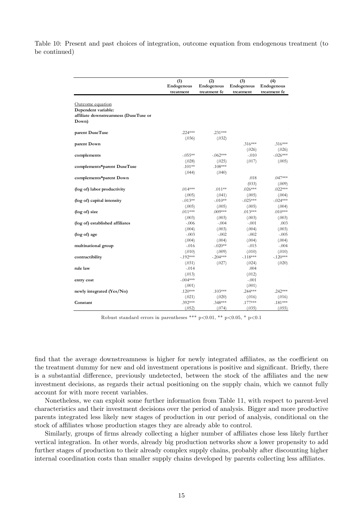<span id="page-15-0"></span>Table 10: Present and past choices of integration, outcome equation from endogenous treatment (to be continued)

|                                                                                           | (1)<br>Endogenous<br>treatment | (2)<br>Endogenous<br>treatment fe | (3)<br>Endogenous<br>treatment | (4)<br>Endogenous<br>treatment fe |
|-------------------------------------------------------------------------------------------|--------------------------------|-----------------------------------|--------------------------------|-----------------------------------|
| Outcome equation<br>Dependent variable:<br>affiliate downstreamness (DuseTuse or<br>Down) |                                |                                   |                                |                                   |
| parent DuseTuse                                                                           | $.224***$                      | $.231***$                         |                                |                                   |
|                                                                                           | (.036)                         | (.032)                            |                                |                                   |
| parent Down                                                                               |                                |                                   | $.316***$                      | $.316***$                         |
|                                                                                           |                                |                                   | (.026)                         | (.026)                            |
| complements                                                                               | $-.055**$                      | $-062***$                         | $-010$                         | $-.026***$                        |
|                                                                                           | (.028)                         | (.025)                            | (.017)                         | (.005)                            |
| complements*parent DuseTuse                                                               | $.101**$                       | $.108***$                         |                                |                                   |
|                                                                                           | (.044)                         | (.040)                            |                                |                                   |
| complements*parent Down                                                                   |                                |                                   | .018                           | $.047***$                         |
| (log of) labor productivity                                                               | $.014***$                      | $.011**$                          | (033)<br>$.026***$             | (.009)<br>$.022***$               |
|                                                                                           | (.005)                         | (.041)                            | (.005)                         | (.004)                            |
| (log of) capital intensity                                                                | $-.013**$                      | $-.010**$                         | $-.025***$                     | $-0.024***$                       |
|                                                                                           | (.005)                         | (.005)                            | (.005)                         | (.004)                            |
| (log of) size                                                                             | $.011***$                      | $.009***$                         | $.013***$                      | $.010^{***}$                      |
|                                                                                           | (.003)                         | (.003)                            | (.003)                         | (.003)                            |
| (log of) established affiliates                                                           | $-.006$                        | $-.004$                           | $-.001$                        | .003                              |
|                                                                                           | (.004)                         | (.003)                            | (.004)                         | (.003)                            |
| (log of) age                                                                              | $-.003$                        | $-0.002$                          | $-.002$                        | $-.005$                           |
|                                                                                           | (.004)                         | (.004)                            | (.004)                         | (.004)                            |
| multinational group                                                                       | $-.016$                        | $-.020**$                         | $-.015$                        | $-.004$                           |
|                                                                                           | (.010)                         | (.009)                            | (.010)                         | (.010)                            |
| contractibility                                                                           | $-.192***$                     | $-.204***$                        | $-.118***$                     | $-.120***$                        |
|                                                                                           | (.031)                         | (.027)                            | (.024)                         | (.020)                            |
| rule law                                                                                  | $-.014$                        |                                   | .004                           |                                   |
|                                                                                           | (.013)<br>$-.004***$           |                                   | (.012)<br>$-.001$              |                                   |
| entry cost                                                                                | (.001)                         |                                   | (.001)                         |                                   |
| newly integrated (Yes/No)                                                                 | $.120***$                      | $.103***$                         | $.244***$                      | $.242***$                         |
|                                                                                           | (.021)                         | (.020)                            | (.016)                         | (.016)                            |
| Constant                                                                                  | $.392***$                      | .348***                           | $.177***$                      | $.181***$                         |
|                                                                                           | (.052)                         | (.074)                            | (.035)                         | (.055)                            |

Robust standard errors in parentheses \*\*\* p<0.01, \*\* p<0.05, \* p<0.1

find that the average downstreamness is higher for newly integrated affiliates, as the coefficient on the treatment dummy for new and old investment operations is positive and significant. Briefly, there is a substantial difference, previously undetected, between the stock of the affiliates and the new investment decisions, as regards their actual positioning on the supply chain, which we cannot fully account for with more recent variables.

Nonetheless, we can exploit some further information from Table [11,](#page-16-0) with respect to parent-level characteristics and their investment decisions over the period of analysis. Bigger and more productive parents integrated less likely new stages of production in our period of analysis, conditional on the stock of affiliates whose production stages they are already able to control.

Similarly, groups of firms already collecting a higher number of affiliates chose less likely further vertical integration. In other words, already big production networks show a lower propensity to add further stages of production to their already complex supply chains, probably after discounting higher internal coordination costs than smaller supply chains developed by parents collecting less affiliates.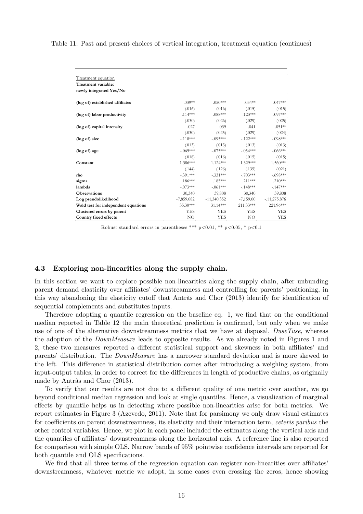<span id="page-16-0"></span>Table 11: Past and present choices of vertical integration, treatment equation (continues)

| <b>Treatment equation</b>           |              |               |             |                |
|-------------------------------------|--------------|---------------|-------------|----------------|
| Treatment variable:                 |              |               |             |                |
| newly integrated Yes/No             |              |               |             |                |
| (log of) established affiliates     | $-.039**$    | $-050***$     | $-.034**$   | $-.047***$     |
|                                     | (.016)       | (.016)        | (.015)      | (.015)         |
| (log of) labor productivity         | $-.114***$   | $-.088***$    | $-123***$   | $-.097***$     |
|                                     | (.030)       | (.026)        | (.029)      | (.025)         |
| (log of) capital intensity          | .027         | .039          | .041        | $.051**$       |
|                                     | (.030)       | (.025)        | (.029)      | (.024)         |
| (log of) size                       | $-.118***$   | $-.095***$    | $-.122***$  | $-.098***$     |
|                                     | (.013)       | (.013)        | (.013)      | (.013)         |
| (log of) age                        | $-.065***$   | $-.075***$    | $-.054***$  | $-.066***$     |
|                                     | (.018)       | (.016)        | (.015)      | (.015)         |
| Constant                            | 1.386***     | $1.124***$    | $1.329***$  | 1.560***       |
|                                     | (.144)       | (.126)        | (.135)      | (.021)         |
| rho                                 | $-.391***$   | $-.331***$    | $-.703***$  | $-.698***$     |
| sigma                               | $.186***$    | $.185***$     | $.211***$   | $.210***$      |
| lambda                              | $-.073***$   | $-.061***$    | $-.148***$  | $-147***$      |
| <b>Observations</b>                 | 30,340       | 39,808        | 30,340      | 39,808         |
| Log pseudolikelihood                | $-7,859.082$ | $-11,340.352$ | $-7,159.00$ | $-.11,275.876$ |
| Wald test for independent equations | 35.30***     | $31.14***$    | 211.33***   | 221.96***      |
| Clustered errors by parent          | YES          | <b>YES</b>    | <b>YES</b>  | <b>YES</b>     |
| Country fixed effects               | NO           | <b>YES</b>    | NO.         | <b>YES</b>     |

Robust standard errors in parentheses \*\*\*  $p<0.01$ , \*\*  $p<0.05$ , \*  $p<0.1$ 

#### 4.3 Exploring non-linearities along the supply chain.

In this section we want to explore possible non-linearities along the supply chain, after unbunding parent demand elasticity over affiliates' downstreamness and controlling for parents' positioning, in this way abandoning the elasticity cutoff that Antràs and Chor  $(2013)$  identify for identification of sequential complements and substitutes inputs.

Therefore adopting a quantile regression on the baseline eq. [1,](#page-10-2) we find that on the conditional median reported in Table [12](#page-17-0) the main theoretical prediction is confirmed, but only when we make use of one of the alternative downstreamness metrics that we have at disposal, DuseTuse, whereas the adoption of the DownMeasure leads to opposite results. As we already noted in Figures [1](#page-9-1) and [2,](#page-10-0) these two measures reported a different statistical support and skewness in both affiliates' and parentsí distribution. The DownMeasure has a narrower standard deviation and is more skewed to the left. This difference in statistical distribution comes after introducing a weighing system, from input-output tables, in order to correct for the differences in length of productive chains, as originally made by Antràs and Chor  $(2013)$ .

To verify that our results are not due to a different quality of one metric over another, we go beyond conditional median regression and look at single quantiles. Hence, a visualization of marginal effects by quantile helps us in detecting where possible non-linearities arise for both metrics. We report estimates in Figure [3](#page-18-0) [\(Azevedo,](#page-22-19) [2011\)](#page-22-19). Note that for parsimony we only draw visual estimates for coefficients on parent downstreamness, its elasticity and their interaction term, *ceteris paribus* the other control variables. Hence, we plot in each panel included the estimates along the vertical axis and the quantiles of affiliates' downstreamness along the horizontal axis. A reference line is also reported for comparison with simple OLS. Narrow bands of 95% pointwise confidence intervals are reported for both quantile and OLS specifications.

We find that all three terms of the regression equation can register non-linearities over affiliates downstreamness, whatever metric we adopt, in some cases even crossing the zeros, hence showing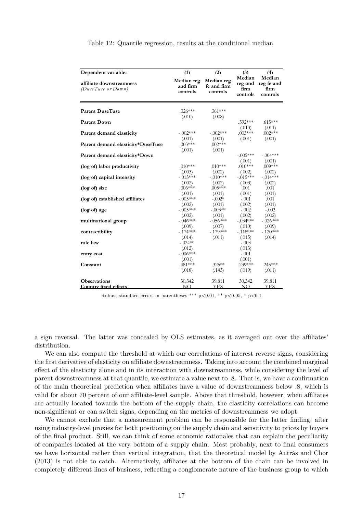| Dependent variable:                            | (1)                                | (2)                                   | (3)                                   | (4)                                      |  |
|------------------------------------------------|------------------------------------|---------------------------------------|---------------------------------------|------------------------------------------|--|
| affiliate downstreamness<br>(DuseTuse or Down) | Median reg<br>and firm<br>controls | Median reg<br>fe and firm<br>controls | Median<br>reg and<br>firm<br>controls | Median<br>reg fe and<br>firm<br>controls |  |
| <b>Parent DuseTuse</b>                         | $.326***$                          | $.361***$                             |                                       |                                          |  |
|                                                | (.010)                             | (.008)                                |                                       |                                          |  |
| <b>Parent Down</b>                             |                                    |                                       | $.592***$                             | $.615***$                                |  |
|                                                |                                    |                                       | (.013)                                | (.011)                                   |  |
| Parent demand elasticity                       | $-.002***$                         | $-.002***$                            | $.003***$                             | $.002***$                                |  |
|                                                | (.001)                             | (.001)                                | (.001)                                | (.001)                                   |  |
| Parent demand elasticity*DuseTuse              | $.003***$                          | $.002***$                             |                                       |                                          |  |
|                                                | (.001)                             | (.001)                                |                                       |                                          |  |
| Parent demand elasticity*Down                  |                                    |                                       | $-.005***$                            | $-.004***$                               |  |
|                                                |                                    |                                       | (.001)                                | (.001)                                   |  |
| (log of) labor productivity                    | $.010***$                          | $.010***$                             | $.010***$                             | $.009***$                                |  |
|                                                | (.003)<br>$-.013***$               | (.002)<br>$-.010***$                  | (.002)<br>$-0.015***$                 | (.002)<br>$-.014***$                     |  |
| (log of) capital intensity                     | (.002)                             | (.002)                                | (.003)                                |                                          |  |
| (log of) size                                  | $.006***$                          | $.005***$                             | .001                                  | (.002)<br>.001                           |  |
|                                                | (.001)                             | (.001)                                | (.001)                                | (.001)                                   |  |
| (log of) established affiliates                | $-.005***$                         | $-.002*$                              | $-.001$                               | .001                                     |  |
|                                                | (.002)                             | (.001)                                | (.002)                                | (.001)                                   |  |
| (log of) age                                   | $-.005***$                         | $-.003**$                             | $-.002$                               | $-.003$                                  |  |
|                                                | (.002)                             | (.001)                                | (.002)                                | (.002)                                   |  |
| multinational group                            | $-.046***$                         | $-.056***$                            | $-.034***$                            | $-.026***$                               |  |
|                                                | (.009)                             | (.007)                                | (.010)                                | (.009)                                   |  |
| contractibility                                | $-.174***$                         | $-.179***$                            | $-.118***$                            | $-.120***$                               |  |
|                                                | (.014)                             | (.011)                                | (.015)                                | (.014)                                   |  |
| rule law                                       | $-.024**$                          |                                       | $-.003$                               |                                          |  |
|                                                | (.012)                             |                                       | (.013)                                |                                          |  |
| entry cost                                     | $-.006***$                         |                                       | $-.001$                               |                                          |  |
|                                                | (.001)                             |                                       | (.001)                                |                                          |  |
| Constant                                       | .481***                            | $.325***$                             | $.239***$                             | $.245***$                                |  |
|                                                | (.018)                             | (.143)                                | (.019)                                | (.011)                                   |  |
| <b>Observations</b>                            |                                    |                                       |                                       |                                          |  |
| Country fixed effects                          | 30,342<br>NO                       | 39,811<br><b>YES</b>                  | 30,342<br>NO                          | 39,811<br><b>YES</b>                     |  |
|                                                |                                    |                                       |                                       |                                          |  |

<span id="page-17-0"></span>Table 12: Quantile regression, results at the conditional median

Robust standard errors in parentheses \*\*\* p<0.01, \*\* p<0.05, \* p<0.1

a sign reversal. The latter was concealed by OLS estimates, as it averaged out over the affiliates' distribution.

We can also compute the threshold at which our correlations of interest reverse signs, considering the first derivative of elasticity on affiliate downstreamness. Taking into account the combined marginal effect of the elasticity alone and in its interaction with downstreamness, while considering the level of parent downstreamness at that quantile, we estimate a value next to  $.8$ . That is, we have a confirmation of the main theoretical prediction when affiliates have a value of downstreamness below  $.8$ , which is valid for about 70 percent of our affiliate-level sample. Above that threshold, however, when affiliates are actually located towards the bottom of the supply chain, the elasticity correlations can become non-significant or can switch signs, depending on the metrics of downstreamness we adopt.

We cannot exclude that a measurement problem can be responsible for the latter finding, after using industry-level proxies for both positioning on the supply chain and sensitivity to prices by buyers of the Önal product. Still, we can think of some economic rationales that can explain the peculiarity of companies located at the very bottom of a supply chain. Most probably, next to Önal consumers we have horizontal rather than vertical integration, that the theoretical model by Antràs and Chor [\(2013\)](#page-22-0) is not able to catch. Alternatively, affiliates at the bottom of the chain can be involved in completely different lines of business, reflecting a conglomerate nature of the business group to which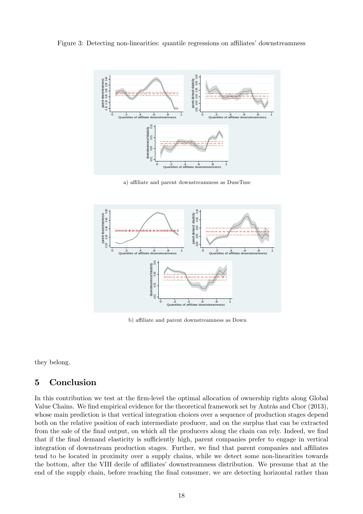Figure 3: Detecting non-linearities: quantile regressions on affiliates' downstreamness

<span id="page-18-0"></span>

a) affiliate and parent downstreamness as DuseTuse



b) affiliate and parent downstreamness as Down

they belong.

## 5 Conclusion

In this contribution we test at the firm-level the optimal allocation of ownership rights along Global Value Chains. We find empirical evidence for the theoretical framework set by Antràs and Chor [\(2013\)](#page-22-0), whose main prediction is that vertical integration choices over a sequence of production stages depend both on the relative position of each intermediate producer, and on the surplus that can be extracted from the sale of the final output, on which all the producers along the chain can rely. Indeed, we find that if the final demand elasticity is sufficiently high, parent companies prefer to engage in vertical integration of downstream production stages. Further, we find that parent companies and affiliates tend to be located in proximity over a supply chains, while we detect some non-linearities towards the bottom, after the VIII decile of affiliates' downstreamness distribution. We presume that at the end of the supply chain, before reaching the final consumer, we are detecting horizontal rather than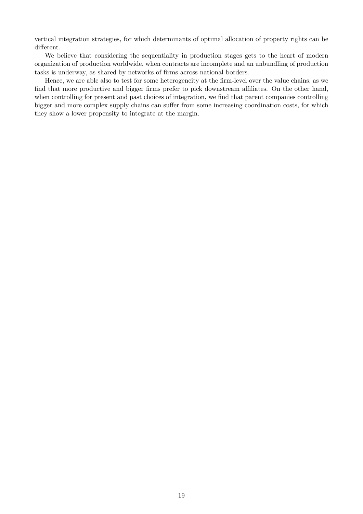vertical integration strategies, for which determinants of optimal allocation of property rights can be different.

We believe that considering the sequentiality in production stages gets to the heart of modern organization of production worldwide, when contracts are incomplete and an unbundling of production tasks is underway, as shared by networks of firms across national borders.

Hence, we are able also to test for some heterogeneity at the firm-level over the value chains, as we find that more productive and bigger firms prefer to pick downstream affiliates. On the other hand, when controlling for present and past choices of integration, we find that parent companies controlling bigger and more complex supply chains can suffer from some increasing coordination costs, for which they show a lower propensity to integrate at the margin.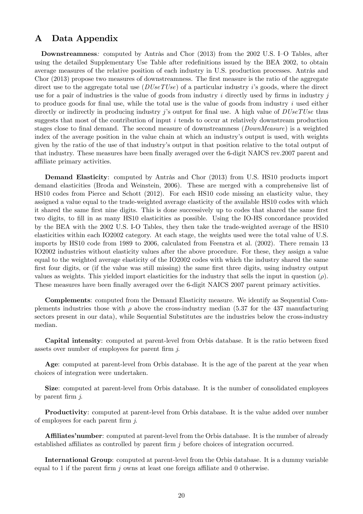## A Data Appendix

Downstreamness: computed by Antràs and Chor [\(2013\)](#page-22-0) from the 2002 U.S. I-O Tables, after using the detailed Supplementary Use Table after redefinitions issued by the BEA 2002, to obtain average measures of the relative position of each industry in U.S. production processes. Antràs and [Chor](#page-22-0) [\(2013\)](#page-22-0) propose two measures of downstreamness. The first measure is the ratio of the aggregate direct use to the aggregate total use  $(DUseTUse)$  of a particular industry is goods, where the direct use for a pair of industries is the value of goods from industry  $i$  directly used by firms in industry  $j$ to produce goods for final use, while the total use is the value of goods from industry  $i$  used either directly or indirectly in producing industry j's output for final use. A high value of  $DUseTUse$  thus suggests that most of the contribution of input i tends to occur at relatively downstream production stages close to final demand. The second measure of downstreamness (*DownMeasure*) is a weighted index of the average position in the value chain at which an industry's output is used, with weights given by the ratio of the use of that industryís output in that position relative to the total output of that industry. These measures have been finally averaged over the 6-digit NAICS rev.2007 parent and affiliate primary activities.

Demand Elasticity: computed by Antràs and Chor [\(2013\)](#page-22-0) from U.S. HS10 products import demand elasticities [\(Broda and Weinstein,](#page-22-2) [2006\)](#page-22-2). These are merged with a comprehensive list of HS10 codes from [Pierce and Schott](#page-23-16) [\(2012\)](#page-23-16). For each HS10 code missing an elasticity value, they assigned a value equal to the trade-weighted average elasticity of the available HS10 codes with which it shared the same first nine digits. This is done successively up to codes that shared the same first two digits, to fill in as many HS10 elasticities as possible. Using the IO-HS concordance provided by the BEA with the 2002 U.S. I-O Tables, they then take the trade-weighted average of the HS10 elasticities within each IO2002 category. At each stage, the weights used were the total value of U.S. imports by HS10 code from 1989 to 2006, calculated from [Feenstra et al.](#page-23-17) [\(2002\)](#page-23-17). There remain 13 IO2002 industries without elasticity values after the above procedure. For these, they assign a value equal to the weighted average elasticity of the IO2002 codes with which the industry shared the same first four digits, or (if the value was still missing) the same first three digits, using industry output values as weights. This yielded import elasticities for the industry that sells the input in question  $(\rho)$ . These measures have been finally averaged over the 6-digit NAICS 2007 parent primary activities.

Complements: computed from the Demand Elasticity measure. We identify as Sequential Complements industries those with  $\rho$  above the cross-industry median (5.37 for the 437 manufacturing sectors present in our data), while Sequential Substitutes are the industries below the cross-industry median.

Capital intensity: computed at parent-level from Orbis database. It is the ratio between fixed assets over number of employees for parent firm j.

Age: computed at parent-level from Orbis database. It is the age of the parent at the year when choices of integration were undertaken.

Size: computed at parent-level from Orbis database. It is the number of consolidated employees by parent firm  $j$ .

Productivity: computed at parent-level from Orbis database. It is the value added over number of employees for each parent firm  $i$ .

**Affiliates' number:** computed at parent-level from the Orbis database. It is the number of already established affiliates as controlled by parent firm  $j$  before choices of integration occurred.

International Group: computed at parent-level from the Orbis database. It is a dummy variable equal to 1 if the parent firm  $j$  owns at least one foreign affiliate and 0 otherwise.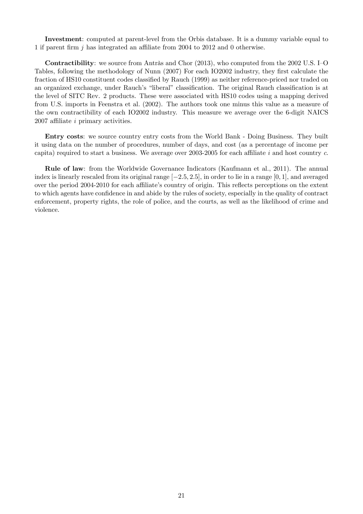Investment: computed at parent-level from the Orbis database. It is a dummy variable equal to 1 if parent firm  $j$  has integrated an affiliate from 2004 to 2012 and 0 otherwise.

**Contractibility**: we source from Antràs and Chor  $(2013)$ , who computed from the 2002 U.S. I-O Tables, following the methodology of [Nunn](#page-23-18) [\(2007\)](#page-23-18) For each IO2002 industry, they first calculate the fraction of HS10 constituent codes classified by [Rauch](#page-23-13) [\(1999\)](#page-23-13) as neither reference-priced nor traded on an organized exchange, under Rauch's "liberal" classification. The original Rauch classification is at the level of SITC Rev. 2 products. These were associated with HS10 codes using a mapping derived from U.S. imports in [Feenstra et al.](#page-23-17) [\(2002\)](#page-23-17). The authors took one minus this value as a measure of the own contractibility of each IO2002 industry. This measure we average over the 6-digit NAICS  $2007$  affiliate *i* primary activities.

Entry costs: we source country entry costs from the World Bank - Doing Business. They built it using data on the number of procedures, number of days, and cost (as a percentage of income per capita) required to start a business. We average over 2003-2005 for each affiliate i and host country  $c$ .

Rule of law: from the Worldwide Governance Indicators [\(Kaufmann et al.,](#page-23-19) [2011\)](#page-23-19). The annual index is linearly rescaled from its original range  $[-2.5, 2.5]$ , in order to lie in a range  $[0, 1]$ , and averaged over the period 2004-2010 for each affiliate's country of origin. This reflects perceptions on the extent to which agents have confidence in and abide by the rules of society, especially in the quality of contract enforcement, property rights, the role of police, and the courts, as well as the likelihood of crime and violence.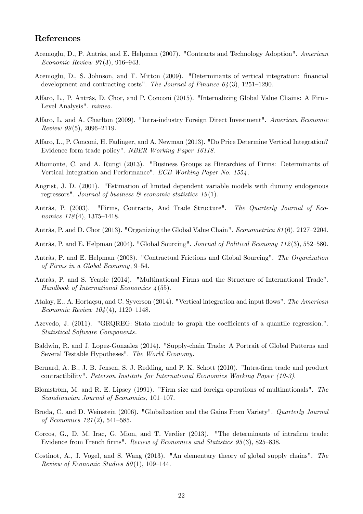## References

- <span id="page-22-7"></span>Acemoglu, D., P. Antràs, and E. Helpman (2007). "Contracts and Technology Adoption". American Economic Review  $97(3)$ , 916–943.
- <span id="page-22-11"></span>Acemoglu, D., S. Johnson, and T. Mitton (2009). "Determinants of vertical integration: financial development and contracting costs". The Journal of Finance  $64(3)$ , 1251–1290.
- <span id="page-22-15"></span>Alfaro, L., P. Antràs, D. Chor, and P. Conconi (2015). "Internalizing Global Value Chains: A Firm-Level Analysis". mimeo.
- <span id="page-22-12"></span>Alfaro, L. and A. Charlton (2009). "Intra-industry Foreign Direct Investment". American Economic Review  $99(5)$ , 2096–2119.
- <span id="page-22-13"></span>Alfaro, L., P. Conconi, H. Fadinger, and A. Newman (2013). "Do Price Determine Vertical Integration? Evidence form trade policy". NBER Working Paper 16118.
- <span id="page-22-1"></span>Altomonte, C. and A. Rungi (2013). "Business Groups as Hierarchies of Firms: Determinants of Vertical Integration and Performance". ECB Working Paper No. 1554 .
- <span id="page-22-18"></span>Angrist, J. D. (2001). "Estimation of limited dependent variable models with dummy endogenous regressors". Journal of business  $\mathcal{B}$  economic statistics 19(1).
- <span id="page-22-4"></span>Antràs, P. (2003). "Firms, Contracts, And Trade Structure". The Quarterly Journal of Economics  $118(4)$ , 1375-1418.
- <span id="page-22-0"></span>Antràs, P. and D. Chor (2013). "Organizing the Global Value Chain". *Econometrica 81* (6), 2127–2204.
- <span id="page-22-5"></span>Antràs, P. and E. Helpman (2004). "Global Sourcing". Journal of Political Economy 112(3), 552–580.
- <span id="page-22-6"></span>Antràs, P. and E. Helpman (2008). "Contractual Frictions and Global Sourcing". The Organization of Firms in a Global Economy,  $9-54$ .
- <span id="page-22-8"></span>Antràs, P. and S. Yeaple (2014). "Multinational Firms and the Structure of International Trade". Handbook of International Economics  $\lambda$  (55).
- <span id="page-22-17"></span>Atalay, E., A. Hortaçsu, and C. Syverson (2014). "Vertical integration and input flows". The American Economic Review  $104(4)$ , 1120–1148.
- <span id="page-22-19"></span>Azevedo, J. (2011). "GRQREG: Stata module to graph the coefficients of a quantile regression.". Statistical Software Components.
- <span id="page-22-3"></span>Baldwin, R. and J. Lopez-Gonzalez (2014). "Supply-chain Trade: A Portrait of Global Patterns and Several Testable Hypotheses". The World Economy.
- <span id="page-22-9"></span>Bernard, A. B., J. B. Jensen, S. J. Redding, and P. K. Schott (2010). "Intra-firm trade and product contractibility". Peterson Institute for International Economics Working Paper (10-3).
- <span id="page-22-16"></span>Blomström, M. and R. E. Lipsey (1991). "Firm size and foreign operations of multinationals". The  $Scandinavian$  Journal of Economics, 101-107.
- <span id="page-22-2"></span>Broda, C. and D. Weinstein (2006). "Globalization and the Gains From Variety". Quarterly Journal of Economics  $121(2)$ , 541–585.
- <span id="page-22-10"></span>Corcos, G., D. M. Irac, G. Mion, and T. Verdier (2013). "The determinants of intrafirm trade: Evidence from French firms". Review of Economics and Statistics 95(3), 825–838.
- <span id="page-22-14"></span>Costinot, A., J. Vogel, and S. Wang (2013). "An elementary theory of global supply chains". The Review of Economic Studies  $80(1)$ , 109–144.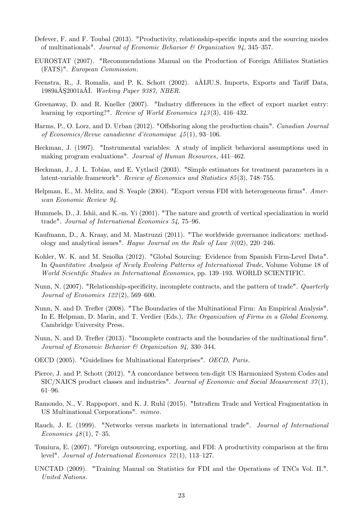- <span id="page-23-6"></span>Defever, F. and F. Toubal (2013). "Productivity, relationship-specific inputs and the sourcing modes of multinationals". Journal of Economic Behavior  $\mathcal{B}$  Organization 94, 345-357.
- <span id="page-23-9"></span>EUROSTAT (2007). "Recommendations Manual on the Production of Foreign Affiliates Statistics (FATS)". European Commission.
- <span id="page-23-17"></span>Feenstra, R., J. Romalis, and P. K. Schott (2002).  $\hat{\mathbf{a}}$ AIJU.S. Imports, Exports and Tariff Data, 1989 $\mathbb{\tilde{A}}$ S2001 $\mathbb{\tilde{A}}$ I. Working Paper 9387, NBER.
- <span id="page-23-12"></span>Greenaway, D. and R. Kneller  $(2007)$ . "Industry differences in the effect of export market entry: learning by exporting?". Review of World Economics  $143(3)$ , 416–432.
- <span id="page-23-7"></span>Harms, P., O. Lorz, and D. Urban (2012). "Offshoring along the production chain". Canadian Journal of Economics/Revue canadienne d'économique  $\mu$ 5(1), 93-106.
- <span id="page-23-15"></span>Heckman, J. (1997). "Instrumental variables: A study of implicit behavioral assumptions used in making program evaluations". Journal of Human Resources, 441-462.
- <span id="page-23-14"></span>Heckman, J., J. L. Tobias, and E. Vytlacil (2003). "Simple estimators for treatment parameters in a latent-variable framework". Review of Economics and Statistics  $85(3)$ , 748–755.
- <span id="page-23-11"></span>Helpman, E., M. Melitz, and S. Yeaple (2004). "Export versus FDI with heterogeneous firms". American Economic Review 94.
- <span id="page-23-1"></span>Hummels, D., J. Ishii, and K.-m. Yi (2001). "The nature and growth of vertical specialization in world trade". Journal of International Economics  $54$ , 75-96.
- <span id="page-23-19"></span>Kaufmann, D., A. Kraay, and M. Mastruzzi (2011). "The worldwide governance indicators: methodology and analytical issues". Hague Journal on the Rule of Law  $3(02)$ , 220–246.
- <span id="page-23-5"></span>Kohler, W. K. and M. Smolka (2012). "Global Sourcing: Evidence from Spanish Firm-Level Data". In Quantitative Analysis of Newly Evolving Patterns of International Trade, Volume Volume 18 of World Scientific Studies in International Economics, pp. 139–193. WORLD SCIENTIFIC.
- <span id="page-23-18"></span>Nunn, N. (2007). "Relationship-specificity, incomplete contracts, and the pattern of trade". Quarterly Journal of Economics  $122(2)$ , 569–600.
- <span id="page-23-2"></span>Nunn, N. and D. Trefler (2008). "The Boundaries of the Multinational Firm: An Empirical Analysis". In E. Helpman, D. Marin, and T. Verdier (Eds.), The Organization of Firms in a Global Economy. Cambridge University Press.
- <span id="page-23-3"></span>Nunn, N. and D. Trefler (2013). "Incomplete contracts and the boundaries of the multinational firm". Journal of Economic Behavior  $\mathcal{B}$  Organization 94, 330-344.
- <span id="page-23-8"></span>OECD (2005). "Guidelines for Multinational Enterprises". OECD, Paris.
- <span id="page-23-16"></span>Pierce, J. and P. Schott (2012). "A concordance between ten-digit US Harmonized System Codes and  $SIC/NAICS$  product classes and industries". Journal of Economic and Social Measurement  $37(1)$ , 61-96.
- <span id="page-23-0"></span>Ramondo, N., V. Rappoport, and K. J. Ruhl (2015). "Intrafirm Trade and Vertical Fragmentation in US Multinational Corporations". mimeo.
- <span id="page-23-13"></span>Rauch, J. E. (1999). "Networks versus markets in international trade". Journal of International Economics  $48(1)$ , 7-35.
- <span id="page-23-4"></span>Tomiura, E. (2007). "Foreign outsourcing, exporting, and FDI: A productivity comparison at the firm level". Journal of International Economics  $72(1)$ , 113-127.
- <span id="page-23-10"></span>UNCTAD (2009). "Training Manual on Statistics for FDI and the Operations of TNCs Vol. II.". United Nations.